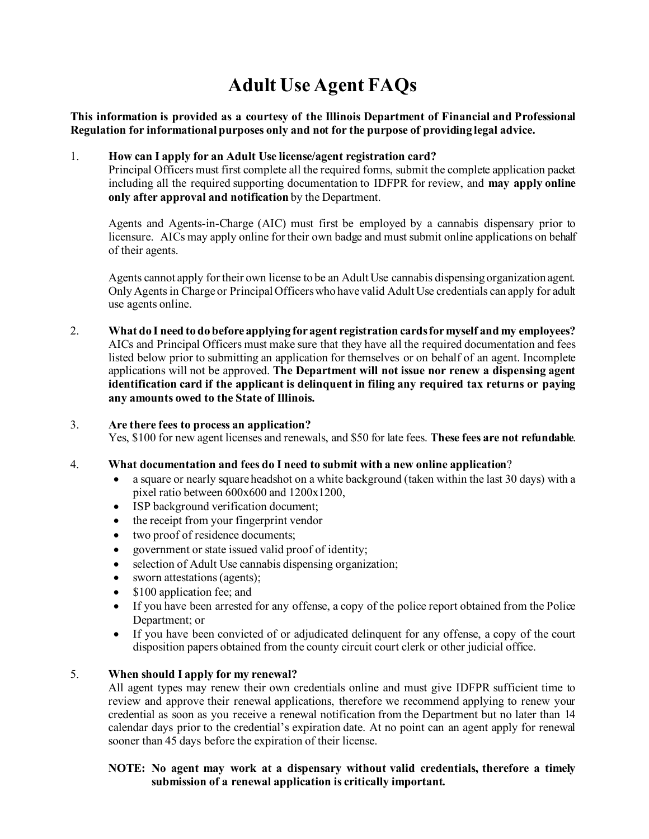# **Adult Use Agent FAQs**

**This information is provided as a courtesy of the Illinois Department of Financial and Professional Regulation for informational purposes only and not for the purpose of providing legal advice.**

# 1. **How can I apply for an Adult Use license/agent registration card?**

Principal Officers must first complete all the required forms, submit the complete application packet including all the required supporting documentation to IDFPR for review, and **may apply online only after approval and notification** by the Department.

Agents and Agents-in-Charge (AIC) must first be employed by a cannabis dispensary prior to licensure. AICs may apply online for their own badge and must submit online applications on behalf of their agents.

Agents cannot apply for their own license to be an Adult Use cannabis dispensing organization agent. Only Agents in Charge or Principal Officers who have valid Adult Use credentials can apply for adult use agents online.

2. **What do I need to do before applying for agent registration cards for myself and my employees?** AICs and Principal Officers must make sure that they have all the required documentation and fees listed below prior to submitting an application for themselves or on behalf of an agent. Incomplete applications will not be approved. **The Department will not issue nor renew a dispensing agent identification card if the applicant is delinquent in filing any required tax returns or paying any amounts owed to the State of Illinois.**

#### 3. **Are there fees to process an application?**

Yes, \$100 for new agent licenses and renewals, and \$50 for late fees. **These fees are not refundable**.

#### 4. **What documentation and fees do I need to submit with a new online application**?

- a square or nearly square headshot on a white background (taken within the last 30 days) with a pixel ratio between 600x600 and 1200x1200,
- ISP background verification document;
- the receipt from your fingerprint vendor
- two proof of residence documents;
- government or state issued valid proof of identity;
- selection of Adult Use cannabis dispensing organization;
- sworn attestations (agents);
- \$100 application fee; and
- If you have been arrested for any offense, a copy of the police report obtained from the Police Department; or
- If you have been convicted of or adjudicated delinquent for any offense, a copy of the court disposition papers obtained from the county circuit court clerk or other judicial office.

# 5. **When should I apply for my renewal?**

All agent types may renew their own credentials online and must give IDFPR sufficient time to review and approve their renewal applications, therefore we recommend applying to renew your credential as soon as you receive a renewal notification from the Department but no later than 14 calendar days prior to the credential's expiration date. At no point can an agent apply for renewal sooner than 45 days before the expiration of their license.

## **NOTE: No agent may work at a dispensary without valid credentials, therefore a timely submission of a renewal application is critically important.**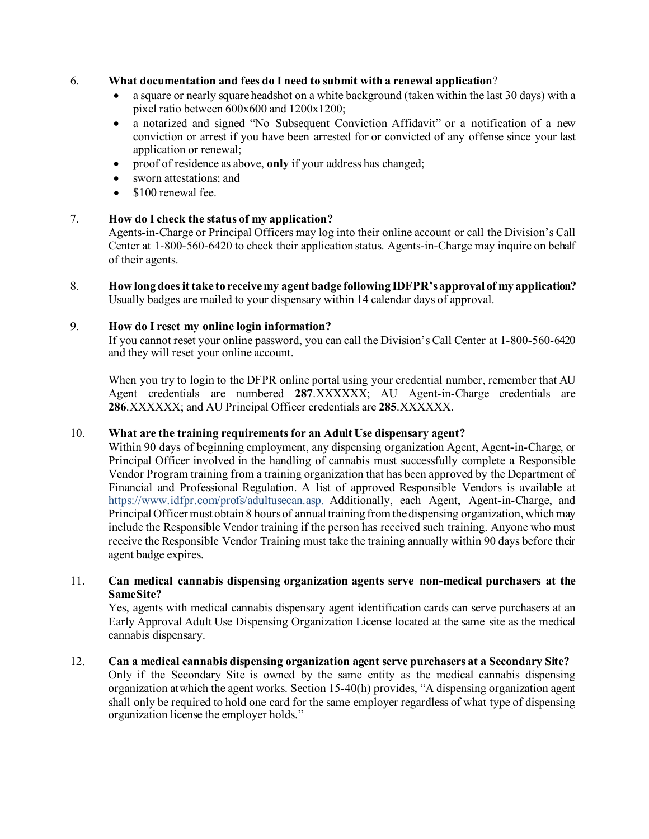## 6. **What documentation and fees do I need to submit with a renewal application**?

- a square or nearly square headshot on a white background (taken within the last 30 days) with a pixel ratio between 600x600 and 1200x1200;
- a notarized and signed "No Subsequent Conviction Affidavit" or a notification of a new conviction or arrest if you have been arrested for or convicted of any offense since your last application or renewal;
- proof of residence as above, **only** if your address has changed;
- sworn attestations: and
- \$100 renewal fee.

## 7. **How do I check the status of my application?**

Agents-in-Charge or Principal Officers may log into their online account or call the Division's Call Center at 1-800-560-6420 to check their application status. Agents-in-Charge may inquire on behalf of their agents.

8. **How long does it take to receive my agent badge following IDFPR's approval of my application?** Usually badges are mailed to your dispensary within 14 calendar days of approval.

# 9. **How do I reset my online login information?**

If you cannot reset your online password, you can call the Division's Call Center at 1-800-560-6420 and they will reset your online account.

When you try to login to the DFPR online portal using your credential number, remember that AU Agent credentials are numbered **287**.XXXXXX; AU Agent-in-Charge credentials are **286**.XXXXXX; and AU Principal Officer credentials are **285**.XXXXXX.

#### 10. **What are the training requirementsfor an Adult Use dispensary agent?**

Within 90 days of beginning employment, any dispensing organization Agent, Agent-in-Charge, or Principal Officer involved in the handling of cannabis must successfully complete a Responsible Vendor Program training from a training organization that has been approved by the Department of Financial and Professional Regulation. A list of approved Responsible Vendors is available at https:[//www.idfpr.com/profs/adultusecan.asp.](http://www.idfpr.com/profs/adultusecan.asp) Additionally, each Agent, Agent-in-Charge, and Principal Officer must obtain 8 hours of annual training from the dispensing organization, which may include the Responsible Vendor training if the person has received such training. Anyone who must receive the Responsible Vendor Training must take the training annually within 90 days before their agent badge expires.

#### 11. **Can medical cannabis dispensing organization agents serve non-medical purchasers at the SameSite?**

Yes, agents with medical cannabis dispensary agent identification cards can serve purchasers at an Early Approval Adult Use Dispensing Organization License located at the same site as the medical cannabis dispensary.

12. **Can a medical cannabis dispensing organization agent serve purchasers at a Secondary Site?** Only if the Secondary Site is owned by the same entity as the medical cannabis dispensing organization atwhich the agent works. Section 15-40(h) provides, "A dispensing organization agent shall only be required to hold one card for the same employer regardless of what type of dispensing organization license the employer holds."